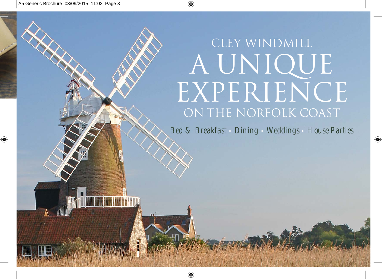# CLEY WINDMILL A UNIQUE EXPERIENCE ON THE NORFOLK COAST

*Bed & Breakfast • Dining • Weddings • House Parties*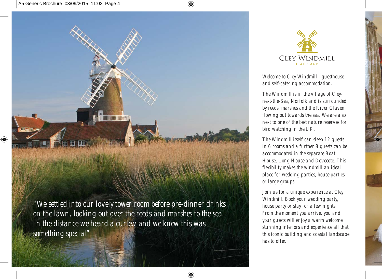



*Welcome to Cley Windmill - guesthouse and self-catering accommodation.*

*The Windmill is in the village of Cleynext-the-Sea, Norfolk and is surrounded by reeds, marshes and the River Glaven flowing out towards the sea. We are also next to one of the best nature reserves for bird watching in the UK.* 

*The Windmill itself can sleep 12 guests in 6 rooms and a further 8 guests can be accommodated in the separate Boat House, Long House and Dovecote. This flexibility makes the windmill an ideal place for wedding parties, house parties or large groups.* 

*Join us for a unique experience at Cley Windmill. Book your wedding party, house party or stay for a few nights. From the moment you arrive, you and your guests will enjoy a warm welcome, stunning interiors and experience all that this iconic building and coastal landscape has to offer.*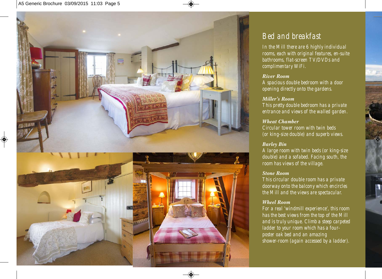

## *Bed and breakfast*

*In the Mill there are 6 highly individual rooms, each with original features, en-suite bathrooms, flat-screen TV/DVDs and complimentary WiFi.*

#### *River Room*

*A spacious double bedroom with a door opening directly onto the gardens.* 

#### *Miller's Room*

*This pretty double bedroom has a private entrance and views of the walled garden.*

#### *Wheat Chamber*

*Circular tower room with twin beds (or king-size double) and superb views.*

#### *Barley Bin*

*A large room with twin beds (or king-size double) and a sofabed. Facing south, the room has views of the village.* 

#### *Stone Room*

*This circular double room has a private doorway onto the balcony which encircles the Mill and the views are spectacular.*

#### *Wheel Room*

*For a real 'windmill experience', this room has the best views from the top of the Mill and is truly unique. Climb a steep carpeted ladder to your room which has a fourposter oak bed and an amazing shower-room (again accessed by a ladder).*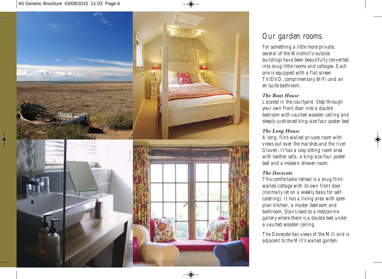

# *Our garden rooms*

*For something a little more private, several of the Windmill's outside buildings have been beautifully converted into snug little rooms and cottages. Each one is equipped with a flat-screen TV/DVD, complimentary WiFi and an en-suite bathroom.*

#### *The Boat House*

*Located in the courtyard. Step through your own front door into a double bedroom with vaulted wooden ceiling and deeply cushioned king-size four poster bed*

## *The Long House*

*A long, flint-walled private room with views out over the marshes and the river Glaven. It has a cosy sitting room area with leather sofa, a king-size four poster bed and a modern shower-room.*

### *The Dovecote*

*This comfortable retreat is a snug flintwalled-cottage with its own front door (normally let on a weekly basis for selfcatering). It has a living area with open plan kitchen, a master bedroom and bathroom. Stairs lead to a mezzanine gallery where there is a double bed under a vaulted wooden ceiling.* 

*The Dovecote has views of the Mill and is adjacent to the Mill's walled garden.*